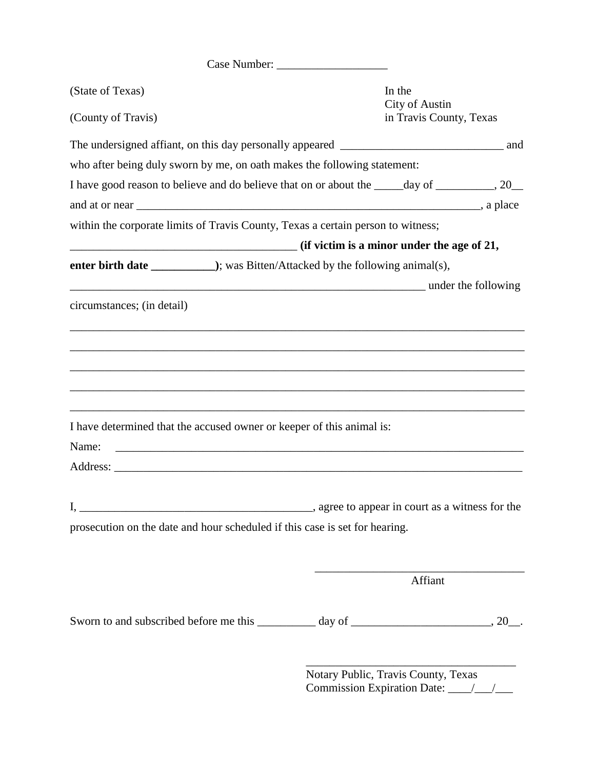Case Number: \_\_\_\_\_\_\_\_\_\_\_\_\_\_\_\_\_\_\_

| (State of Texas)<br>(County of Travis)                                                       | In the<br><b>City of Austin</b><br>in Travis County, Texas |  |
|----------------------------------------------------------------------------------------------|------------------------------------------------------------|--|
|                                                                                              |                                                            |  |
|                                                                                              |                                                            |  |
| who after being duly sworn by me, on oath makes the following statement:                     |                                                            |  |
| I have good reason to believe and do believe that on or about the _____day of ________, 20__ |                                                            |  |
|                                                                                              |                                                            |  |
| within the corporate limits of Travis County, Texas a certain person to witness;             |                                                            |  |
| $\frac{1}{2}$ (if victim is a minor under the age of 21,                                     |                                                            |  |
|                                                                                              |                                                            |  |
| <b>Example 2</b> and the following and the following                                         |                                                            |  |
| circumstances; (in detail)                                                                   |                                                            |  |
|                                                                                              |                                                            |  |
|                                                                                              |                                                            |  |
|                                                                                              |                                                            |  |
|                                                                                              |                                                            |  |
|                                                                                              |                                                            |  |
| I have determined that the accused owner or keeper of this animal is:                        |                                                            |  |
| Name:                                                                                        |                                                            |  |
|                                                                                              |                                                            |  |
|                                                                                              |                                                            |  |
|                                                                                              | ______, agree to appear in court as a witness for the      |  |
| prosecution on the date and hour scheduled if this case is set for hearing.                  |                                                            |  |
|                                                                                              |                                                            |  |
|                                                                                              |                                                            |  |
|                                                                                              | Affiant                                                    |  |
|                                                                                              |                                                            |  |
| Sworn to and subscribed before me this __________ day of ________________________, 20__.     |                                                            |  |

Notary Public, Travis County, Texas Commission Expiration Date: \_\_\_\_/\_\_\_/\_\_\_

\_\_\_\_\_\_\_\_\_\_\_\_\_\_\_\_\_\_\_\_\_\_\_\_\_\_\_\_\_\_\_\_\_\_\_\_